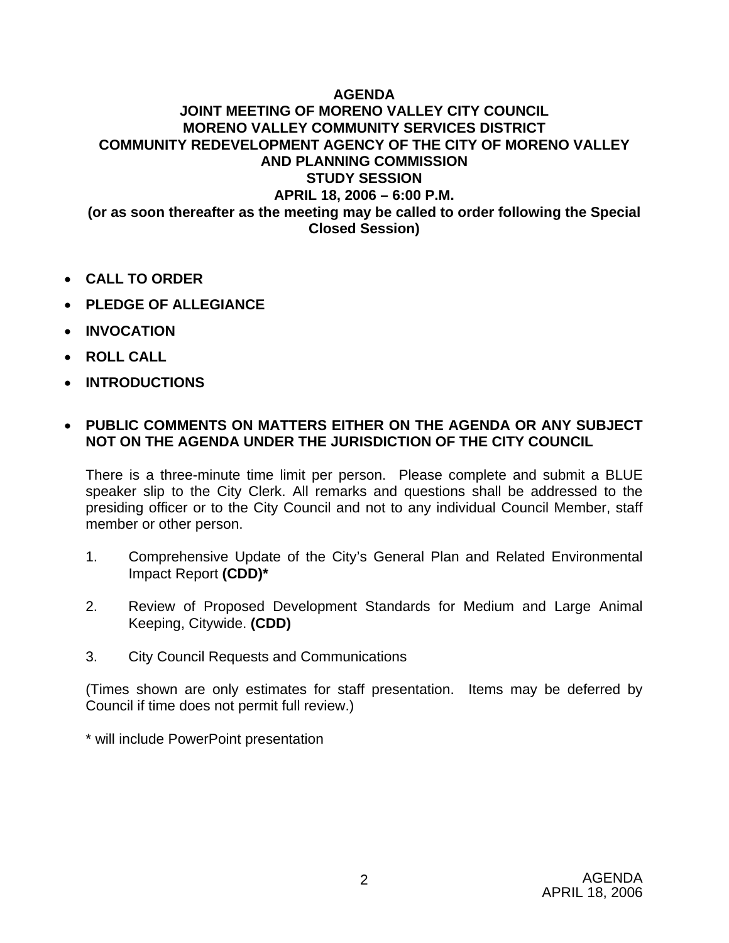## **AGENDA**

## **JOINT MEETING OF MORENO VALLEY CITY COUNCIL MORENO VALLEY COMMUNITY SERVICES DISTRICT COMMUNITY REDEVELOPMENT AGENCY OF THE CITY OF MORENO VALLEY AND PLANNING COMMISSION STUDY SESSION APRIL 18, 2006 – 6:00 P.M. (or as soon thereafter as the meeting may be called to order following the Special Closed Session)**

- **CALL TO ORDER**
- **PLEDGE OF ALLEGIANCE**
- **INVOCATION**
- **ROLL CALL**
- **INTRODUCTIONS**

## • **PUBLIC COMMENTS ON MATTERS EITHER ON THE AGENDA OR ANY SUBJECT NOT ON THE AGENDA UNDER THE JURISDICTION OF THE CITY COUNCIL**

There is a three-minute time limit per person. Please complete and submit a BLUE speaker slip to the City Clerk. All remarks and questions shall be addressed to the presiding officer or to the City Council and not to any individual Council Member, staff member or other person.

- 1. Comprehensive Update of the City's General Plan and Related Environmental Impact Report **(CDD)\***
- 2. Review of Proposed Development Standards for Medium and Large Animal Keeping, Citywide. **(CDD)**
- 3. City Council Requests and Communications

(Times shown are only estimates for staff presentation. Items may be deferred by Council if time does not permit full review.)

\* will include PowerPoint presentation